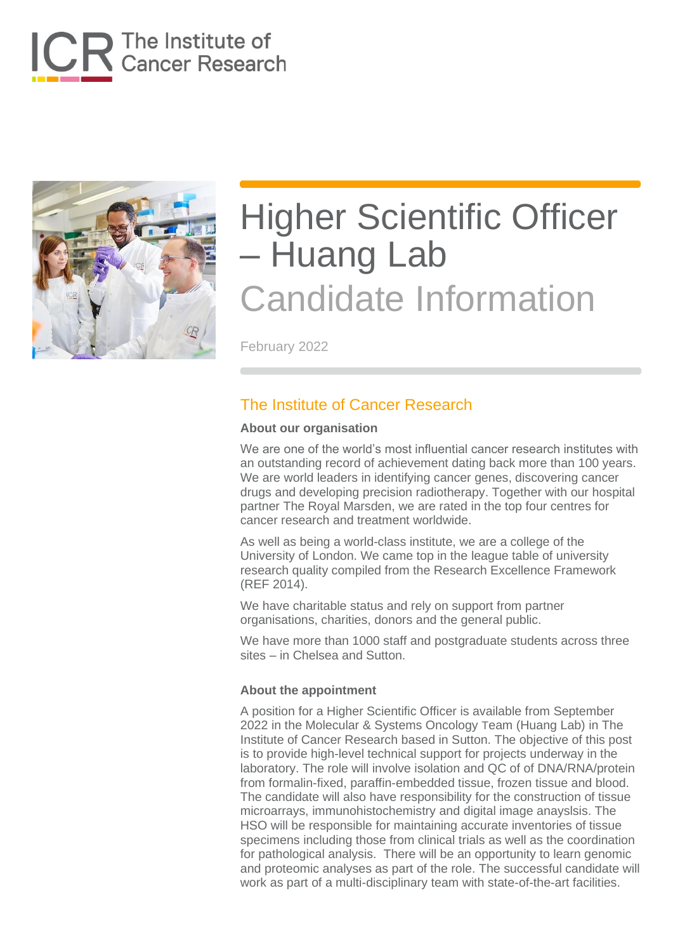



February 2022

### The Institute of Cancer Research

#### **About our organisation**

We are one of the world's most influential cancer research institutes with an outstanding record of achievement dating back more than 100 years. We are world leaders in identifying cancer genes, discovering cancer drugs and developing precision radiotherapy. Together with our hospital partner The Royal Marsden, we are rated in the top four centres for cancer research and treatment worldwide.

As well as being a world-class institute, we are a college of the University of London. We came top in the league table of university research quality compiled from the Research Excellence Framework (REF 2014).

We have charitable status and rely on support from partner organisations, charities, donors and the general public.

We have more than 1000 staff and postgraduate students across three sites – in Chelsea and Sutton.

#### **About the appointment**

A position for a Higher Scientific Officer is available from September 2022 in the Molecular & Systems Oncology Team (Huang Lab) in The Institute of Cancer Research based in Sutton. The objective of this post is to provide high-level technical support for projects underway in the laboratory. The role will involve isolation and QC of of DNA/RNA/protein from formalin-fixed, paraffin-embedded tissue, frozen tissue and blood. The candidate will also have responsibility for the construction of tissue microarrays, immunohistochemistry and digital image anayslsis. The HSO will be responsible for maintaining accurate inventories of tissue specimens including those from clinical trials as well as the coordination for pathological analysis. There will be an opportunity to learn genomic and proteomic analyses as part of the role. The successful candidate will work as part of a multi-disciplinary team with state-of-the-art facilities.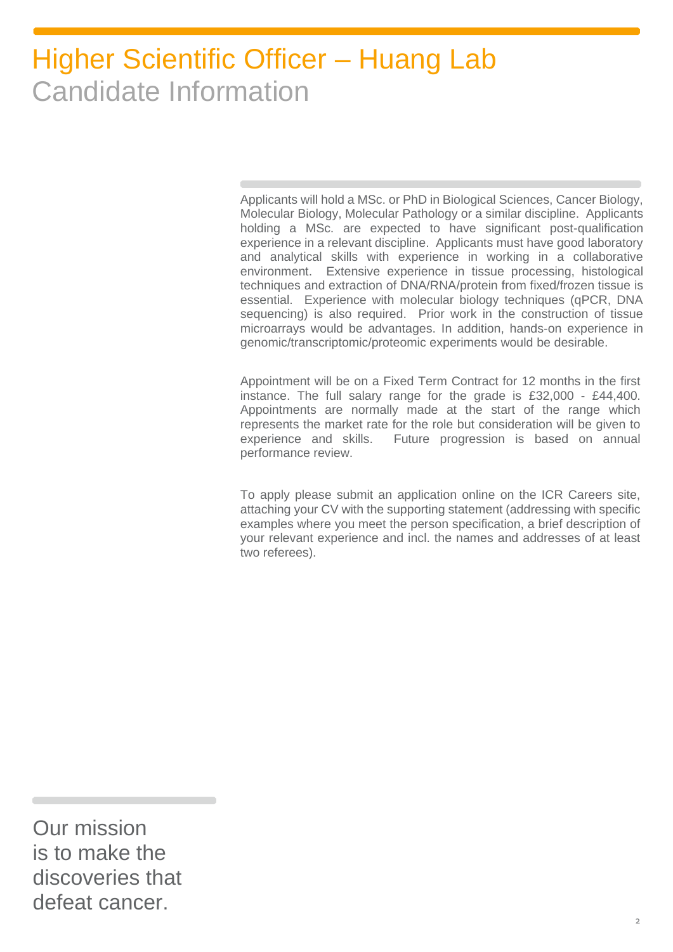Applicants will hold a MSc. or PhD in Biological Sciences, Cancer Biology, Molecular Biology, Molecular Pathology or a similar discipline. Applicants holding a MSc. are expected to have significant post-qualification experience in a relevant discipline. Applicants must have good laboratory and analytical skills with experience in working in a collaborative environment. Extensive experience in tissue processing, histological techniques and extraction of DNA/RNA/protein from fixed/frozen tissue is essential. Experience with molecular biology techniques (qPCR, DNA sequencing) is also required. Prior work in the construction of tissue microarrays would be advantages. In addition, hands-on experience in genomic/transcriptomic/proteomic experiments would be desirable.

Appointment will be on a Fixed Term Contract for 12 months in the first instance. The full salary range for the grade is £32,000 - £44,400. Appointments are normally made at the start of the range which represents the market rate for the role but consideration will be given to experience and skills. Future progression is based on annual performance review.

To apply please submit an application online on the ICR Careers site, attaching your CV with the supporting statement (addressing with specific examples where you meet the person specification, a brief description of your relevant experience and incl. the names and addresses of at least two referees).

Our mission is to make the discoveries that defeat cancer.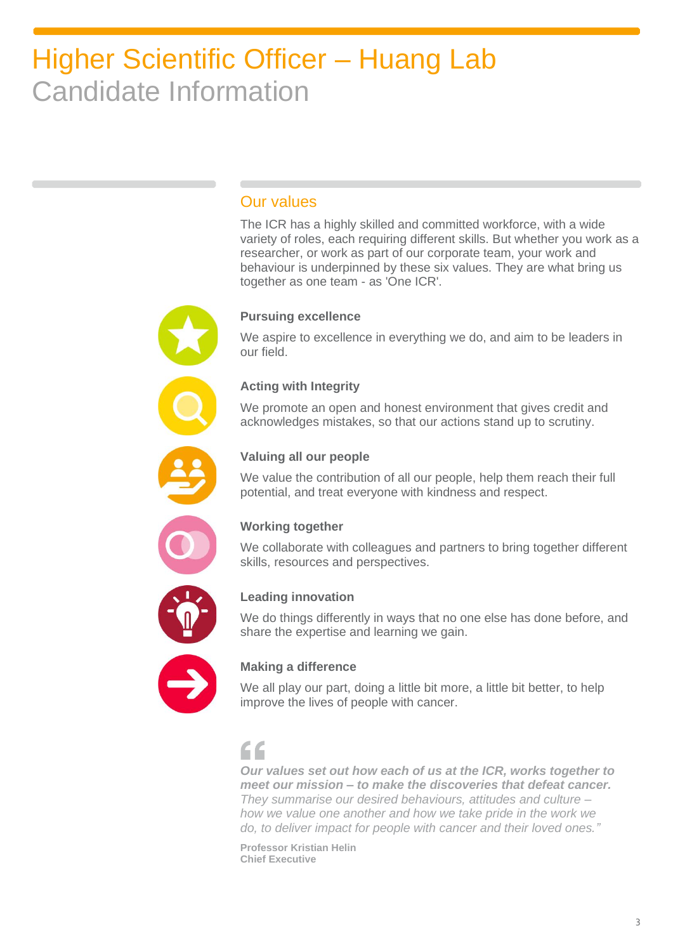### Our values

The ICR has a highly skilled and committed workforce, with a wide variety of roles, each requiring different skills. But whether you work as a researcher, or work as part of our corporate team, your work and behaviour is underpinned by these six values. They are what bring us together as one team - as 'One ICR'.

#### **Pursuing excellence**

We aspire to excellence in everything we do, and aim to be leaders in our field.

#### **Acting with Integrity**

We promote an open and honest environment that gives credit and acknowledges mistakes, so that our actions stand up to scrutiny.



#### **Valuing all our people**

We value the contribution of all our people, help them reach their full potential, and treat everyone with kindness and respect.



#### **Working together**

We collaborate with colleagues and partners to bring together different skills, resources and perspectives.



#### **Leading innovation**

We do things differently in ways that no one else has done before, and share the expertise and learning we gain.



### **Making a difference**

We all play our part, doing a little bit more, a little bit better, to help improve the lives of people with cancer.

### $\epsilon$

*Our values set out how each of us at the ICR, works together to meet our mission – to make the discoveries that defeat cancer. They summarise our desired behaviours, attitudes and culture – how we value one another and how we take pride in the work we do, to deliver impact for people with cancer and their loved ones."*

**Professor Kristian Helin Chief Executive**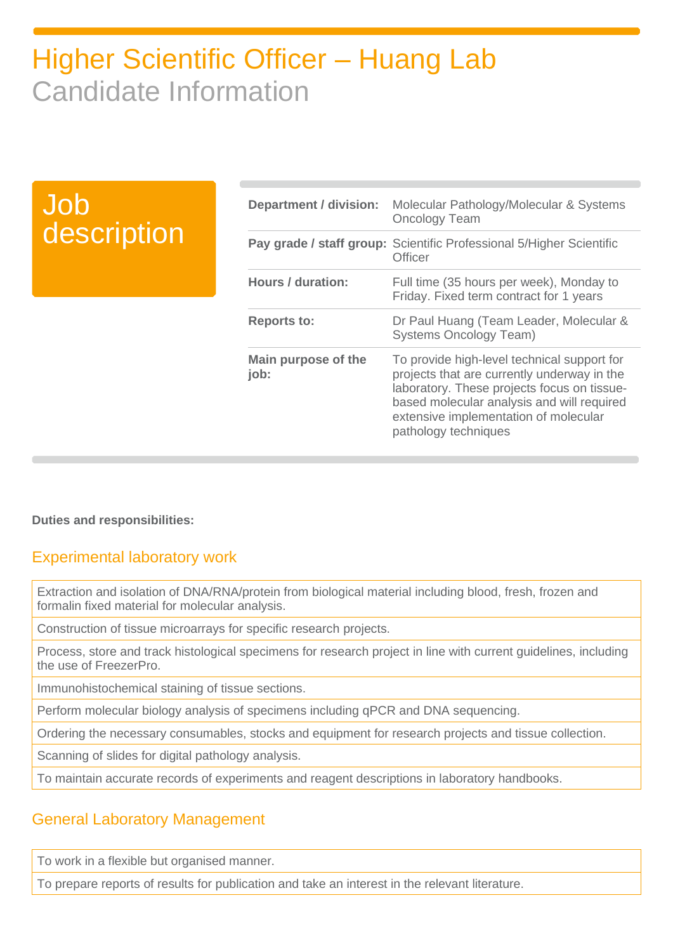| <b>Job</b>  |
|-------------|
| description |

| <b>Department / division:</b> | Molecular Pathology/Molecular & Systems<br><b>Oncology Team</b>                                                                                                                                                                                          |
|-------------------------------|----------------------------------------------------------------------------------------------------------------------------------------------------------------------------------------------------------------------------------------------------------|
|                               | Pay grade / staff group: Scientific Professional 5/Higher Scientific<br>Officer                                                                                                                                                                          |
| <b>Hours / duration:</b>      | Full time (35 hours per week), Monday to<br>Friday. Fixed term contract for 1 years                                                                                                                                                                      |
| <b>Reports to:</b>            | Dr Paul Huang (Team Leader, Molecular &<br><b>Systems Oncology Team)</b>                                                                                                                                                                                 |
| Main purpose of the<br>job:   | To provide high-level technical support for<br>projects that are currently underway in the<br>laboratory. These projects focus on tissue-<br>based molecular analysis and will required<br>extensive implementation of molecular<br>pathology techniques |

**Duties and responsibilities:**

### Experimental laboratory work

Extraction and isolation of DNA/RNA/protein from biological material including blood, fresh, frozen and formalin fixed material for molecular analysis.

Construction of tissue microarrays for specific research projects.

Process, store and track histological specimens for research project in line with current guidelines, including the use of FreezerPro.

Immunohistochemical staining of tissue sections.

Perform molecular biology analysis of specimens including qPCR and DNA sequencing.

Ordering the necessary consumables, stocks and equipment for research projects and tissue collection.

Scanning of slides for digital pathology analysis.

To maintain accurate records of experiments and reagent descriptions in laboratory handbooks.

### General Laboratory Management

To work in a flexible but organised manner.

To prepare reports of results for publication and take an interest in the relevant literature.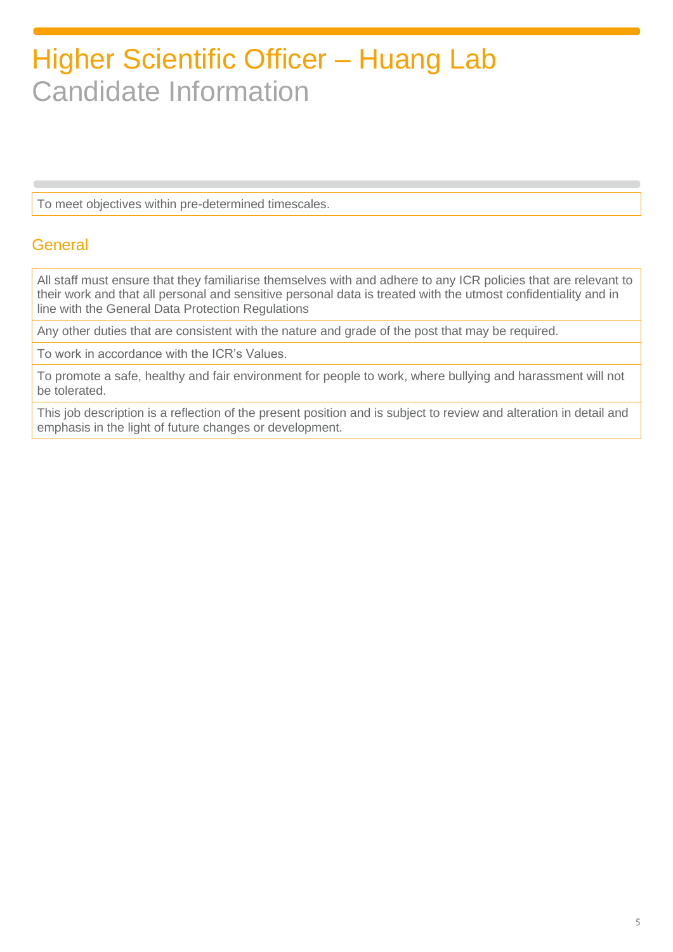To meet objectives within pre-determined timescales.

### **General**

All staff must ensure that they familiarise themselves with and adhere to any ICR policies that are relevant to their work and that all personal and sensitive personal data is treated with the utmost confidentiality and in line with the General Data Protection Regulations

Any other duties that are consistent with the nature and grade of the post that may be required.

To work in accordance with the ICR's Values.

To promote a safe, healthy and fair environment for people to work, where bullying and harassment will not be tolerated.

This job description is a reflection of the present position and is subject to review and alteration in detail and emphasis in the light of future changes or development.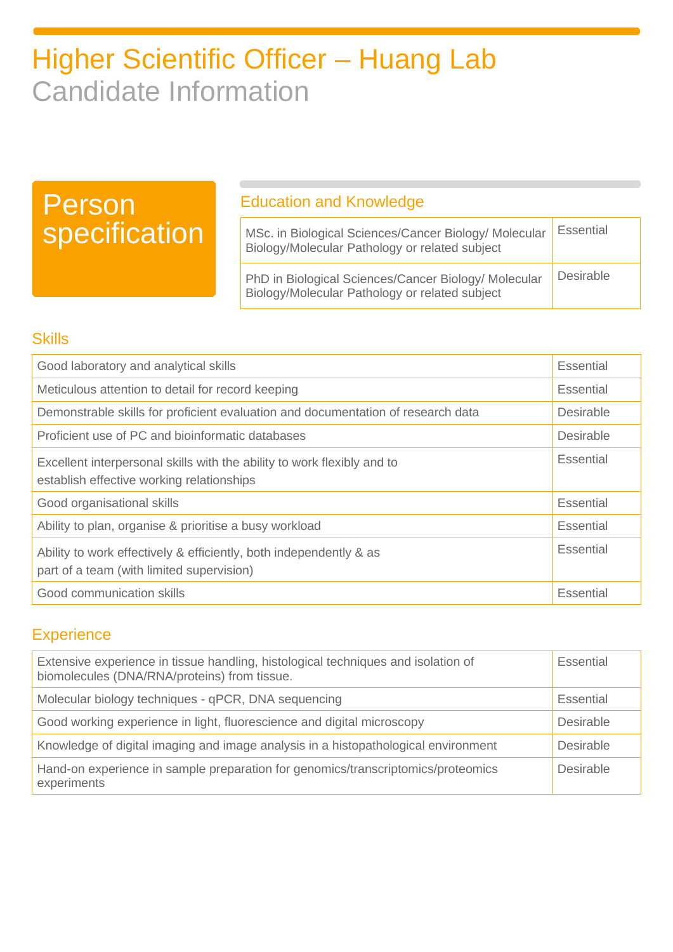### Person specification

### Education and Knowledge

| MSc. in Biological Sciences/Cancer Biology/ Molecular<br>Biology/Molecular Pathology or related subject | <b>Essential</b> |
|---------------------------------------------------------------------------------------------------------|------------------|
| PhD in Biological Sciences/Cancer Biology/ Molecular<br>Biology/Molecular Pathology or related subject  | Desirable        |

### **Skills**

| Good laboratory and analytical skills                                                                                | Essential        |
|----------------------------------------------------------------------------------------------------------------------|------------------|
| Meticulous attention to detail for record keeping                                                                    | <b>Essential</b> |
| Demonstrable skills for proficient evaluation and documentation of research data                                     | Desirable        |
| Proficient use of PC and bioinformatic databases                                                                     | Desirable        |
| Excellent interpersonal skills with the ability to work flexibly and to<br>establish effective working relationships | Essential        |
| Good organisational skills                                                                                           | Essential        |
| Ability to plan, organise & prioritise a busy workload                                                               | Essential        |
| Ability to work effectively & efficiently, both independently & as<br>part of a team (with limited supervision)      | Essential        |
| Good communication skills                                                                                            | <b>Essential</b> |

### **Experience**

| Extensive experience in tissue handling, histological techniques and isolation of<br>biomolecules (DNA/RNA/proteins) from tissue. | <b>Essential</b> |
|-----------------------------------------------------------------------------------------------------------------------------------|------------------|
| Molecular biology techniques - qPCR, DNA sequencing                                                                               | <b>Essential</b> |
| Good working experience in light, fluorescience and digital microscopy                                                            | <b>Desirable</b> |
| Knowledge of digital imaging and image analysis in a histopathological environment                                                | <b>Desirable</b> |
| Hand-on experience in sample preparation for genomics/transcriptomics/proteomics<br>experiments                                   | Desirable        |